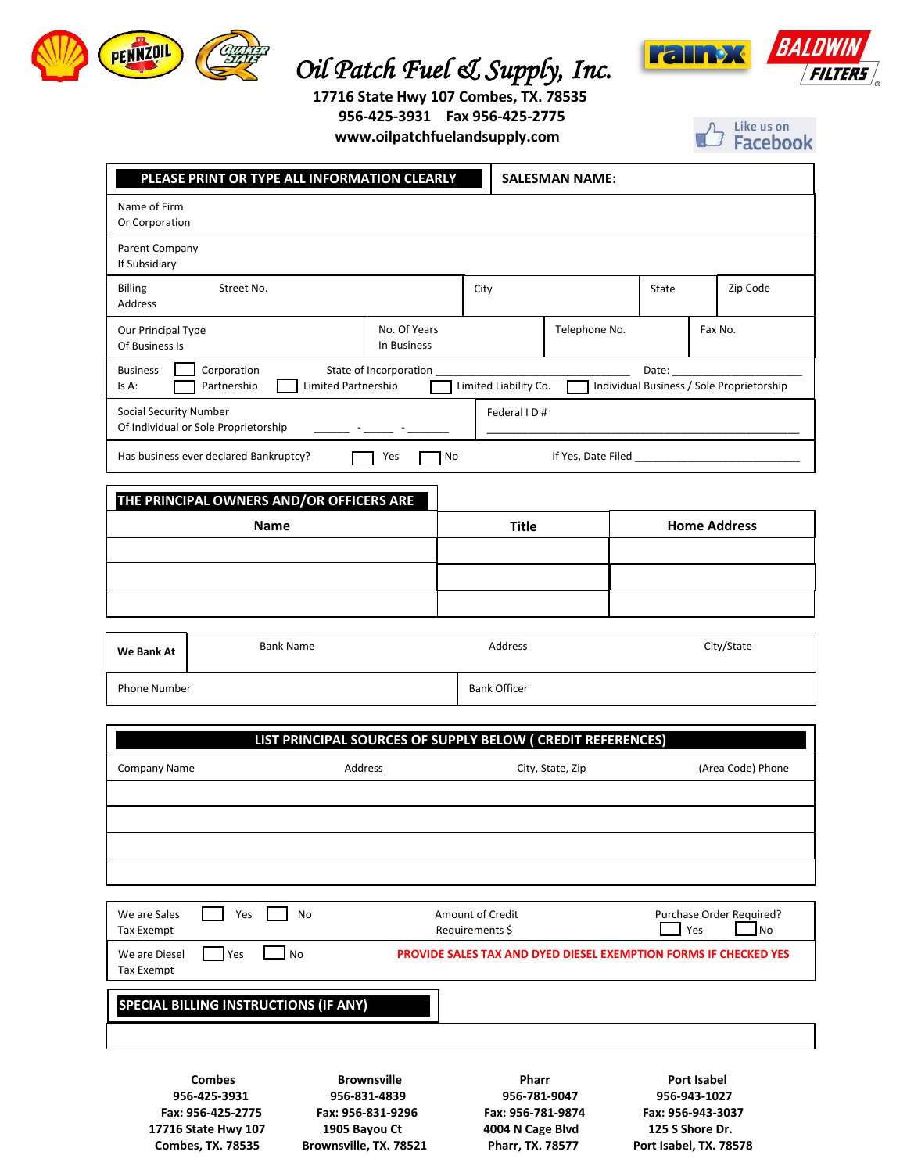

## **PENNZUIL (CHALLER COIL Patch Fuel & Supply, Inc.**



 **17716 State Hwy 107 Combes, TX. 78535 956-425-3931 Fax 956-425-2775 www.oilpatchfuelandsupply.com**



|                                                                                                                            | PLEASE PRINT OR TYPE ALL INFORMATION CLEARLY      |                        |                          | <b>SALESMAN NAME:</b> |                     |                                           |  |
|----------------------------------------------------------------------------------------------------------------------------|---------------------------------------------------|------------------------|--------------------------|-----------------------|---------------------|-------------------------------------------|--|
| Name of Firm<br>Or Corporation                                                                                             |                                                   |                        |                          |                       |                     |                                           |  |
| Parent Company                                                                                                             |                                                   |                        |                          |                       |                     |                                           |  |
| If Subsidiary<br>Billing                                                                                                   | Street No.                                        |                        | City                     |                       | State               | Zip Code                                  |  |
| Address                                                                                                                    |                                                   |                        |                          |                       |                     |                                           |  |
| No. Of Years<br>Our Principal Type<br>In Business<br>Of Business Is                                                        |                                                   |                        | Telephone No.<br>Fax No. |                       |                     |                                           |  |
| <b>Business</b><br>Is A:                                                                                                   | Corporation<br>Limited Partnership<br>Partnership | State of Incorporation | Limited Liability Co.    |                       | Date:               | Individual Business / Sole Proprietorship |  |
| <b>Social Security Number</b>                                                                                              | Of Individual or Sole Proprietorship              |                        | Federal ID#              |                       |                     |                                           |  |
|                                                                                                                            | Has business ever declared Bankruptcy?            | Yes<br>No              | If Yes, Date Filed       |                       |                     |                                           |  |
|                                                                                                                            |                                                   |                        |                          |                       |                     |                                           |  |
| THE PRINCIPAL OWNERS AND/OR OFFICERS ARE<br><b>Name</b>                                                                    |                                                   |                        | <b>Title</b>             |                       | <b>Home Address</b> |                                           |  |
|                                                                                                                            |                                                   |                        |                          |                       |                     |                                           |  |
|                                                                                                                            |                                                   |                        |                          |                       |                     |                                           |  |
|                                                                                                                            |                                                   |                        |                          |                       |                     |                                           |  |
| We Bank At                                                                                                                 | <b>Bank Name</b>                                  |                        | Address                  |                       |                     | City/State                                |  |
| Phone Number                                                                                                               |                                                   |                        | <b>Bank Officer</b>      |                       |                     |                                           |  |
|                                                                                                                            |                                                   |                        |                          |                       |                     |                                           |  |
| LIST PRINCIPAL SOURCES OF SUPPLY BELOW (CREDIT REFERENCES)<br>Address<br><b>Company Name</b><br>City, State, Zip           |                                                   |                        |                          |                       |                     | (Area Code) Phone                         |  |
|                                                                                                                            |                                                   |                        |                          |                       |                     |                                           |  |
|                                                                                                                            |                                                   |                        |                          |                       |                     |                                           |  |
|                                                                                                                            |                                                   |                        |                          |                       |                     |                                           |  |
| We are Sales                                                                                                               | Yes<br>No                                         |                        | Amount of Credit         |                       |                     | Purchase Order Required?                  |  |
| Tax Exempt                                                                                                                 |                                                   |                        | Requirements \$          |                       |                     | Yes<br>No                                 |  |
| Yes<br>No<br>We are Diesel<br><b>PROVIDE SALES TAX AND DYED DIESEL EXEMPTION FORMS IF CHECKED YES</b><br><b>Tax Exempt</b> |                                                   |                        |                          |                       |                     |                                           |  |
|                                                                                                                            | <b>SPECIAL BILLING INSTRUCTIONS (IF ANY)</b>      |                        |                          |                       |                     |                                           |  |

**Combes 6 Brownsville Pharr Port Isabel 956-425-3931 956-831-4839 956-781-9047 956-943-1027 Fax: 956-425-2775 Fax: 956-831-9296 Fax: 956-781-9874 Fax: 956-943-3037 17716 State Hwy 107 1905 Bayou Ct 4004 N Cage Blvd 125 S Shore Dr. Combes, TX. 78535 Brownsville, TX. 78521 Pharr, TX. 78577 Port Isabel, TX. 78578**